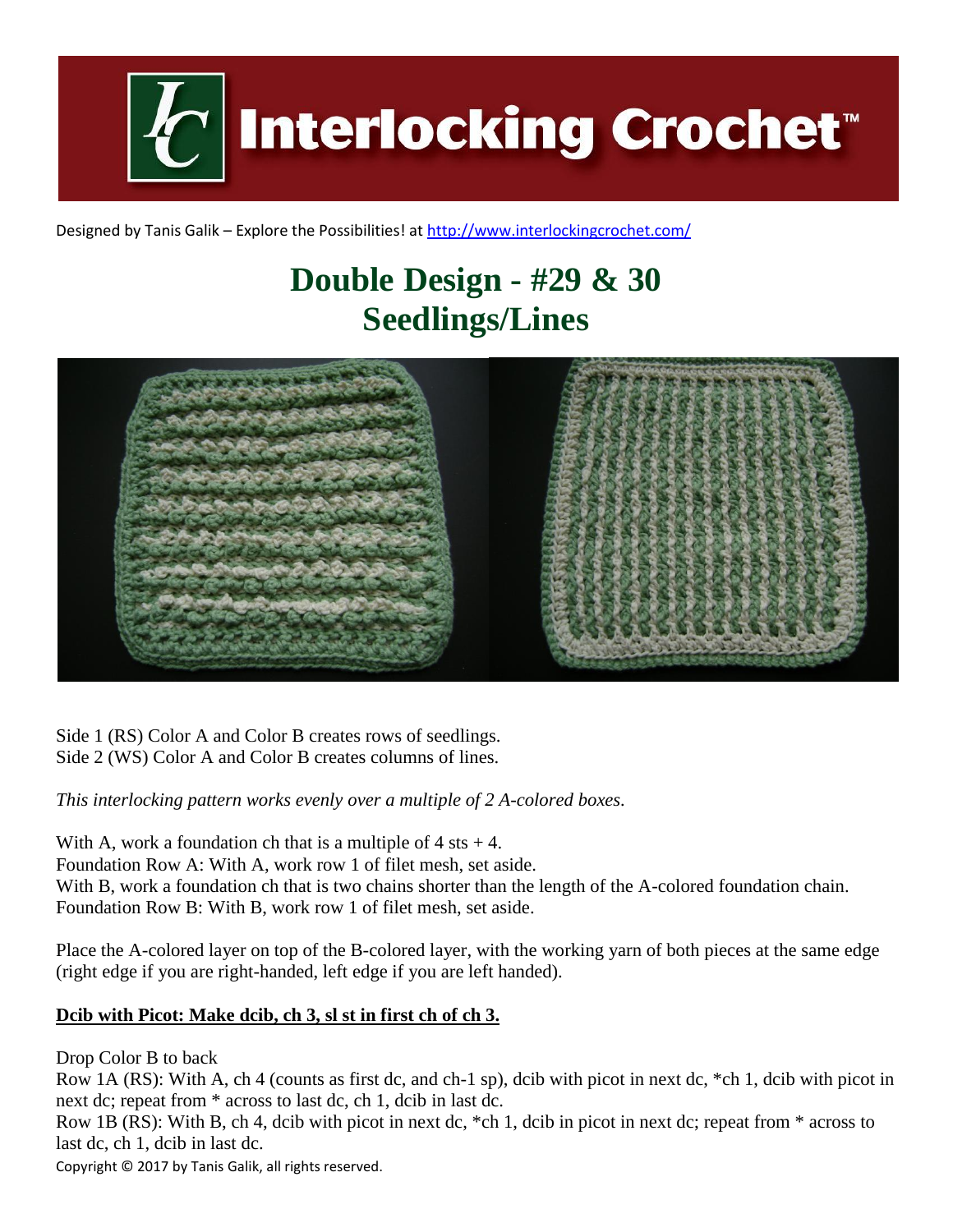

Designed by Tanis Galik – Explore the Possibilities! a[t http://www.interlockingcrochet.com/](http://www.interlockingcrochet.com/)

## **Double Design - #29 & 30 Seedlings/Lines**



Side 1 (RS) Color A and Color B creates rows of seedlings. Side 2 (WS) Color A and Color B creates columns of lines.

*This interlocking pattern works evenly over a multiple of 2 A-colored boxes.*

With A, work a foundation ch that is a multiple of  $4$  sts  $+4$ . Foundation Row A: With A, work row 1 of filet mesh, set aside. With B, work a foundation ch that is two chains shorter than the length of the A-colored foundation chain. Foundation Row B: With B, work row 1 of filet mesh, set aside.

Place the A-colored layer on top of the B-colored layer, with the working yarn of both pieces at the same edge (right edge if you are right-handed, left edge if you are left handed).

## **Dcib with Picot: Make dcib, ch 3, sl st in first ch of ch 3.**

Drop Color B to back

Row 1A (RS): With A, ch 4 (counts as first dc, and ch-1 sp), dcib with picot in next dc, \*ch 1, dcib with picot in next dc; repeat from \* across to last dc, ch 1, dcib in last dc.

Row 1B (RS): With B, ch 4, dcib with picot in next dc, \*ch 1, dcib in picot in next dc; repeat from \* across to last dc, ch 1, dcib in last dc.

Copyright © 2017 by Tanis Galik, all rights reserved.